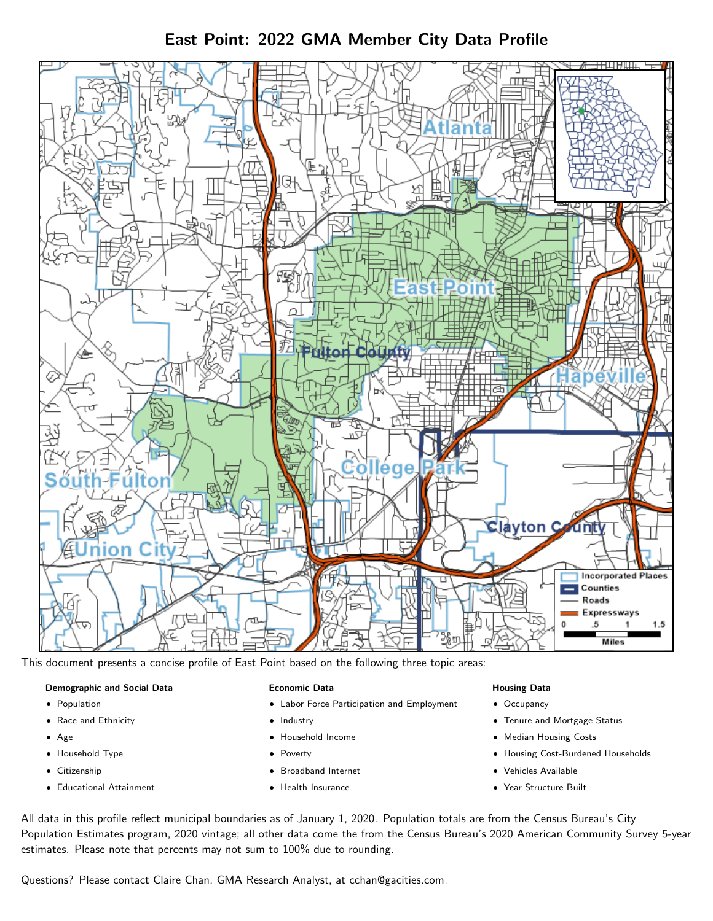East Point: 2022 GMA Member City Data Profile



This document presents a concise profile of East Point based on the following three topic areas:

#### Demographic and Social Data

- **•** Population
- Race and Ethnicity
- Age
- Household Type
- **Citizenship**
- Educational Attainment

#### Economic Data

- Labor Force Participation and Employment
- Industry
- Household Income
- Poverty
- Broadband Internet
- Health Insurance

### Housing Data

- Occupancy
- Tenure and Mortgage Status
- Median Housing Costs
- Housing Cost-Burdened Households
- Vehicles Available
- Year Structure Built

All data in this profile reflect municipal boundaries as of January 1, 2020. Population totals are from the Census Bureau's City Population Estimates program, 2020 vintage; all other data come the from the Census Bureau's 2020 American Community Survey 5-year estimates. Please note that percents may not sum to 100% due to rounding.

Questions? Please contact Claire Chan, GMA Research Analyst, at [cchan@gacities.com.](mailto:cchan@gacities.com)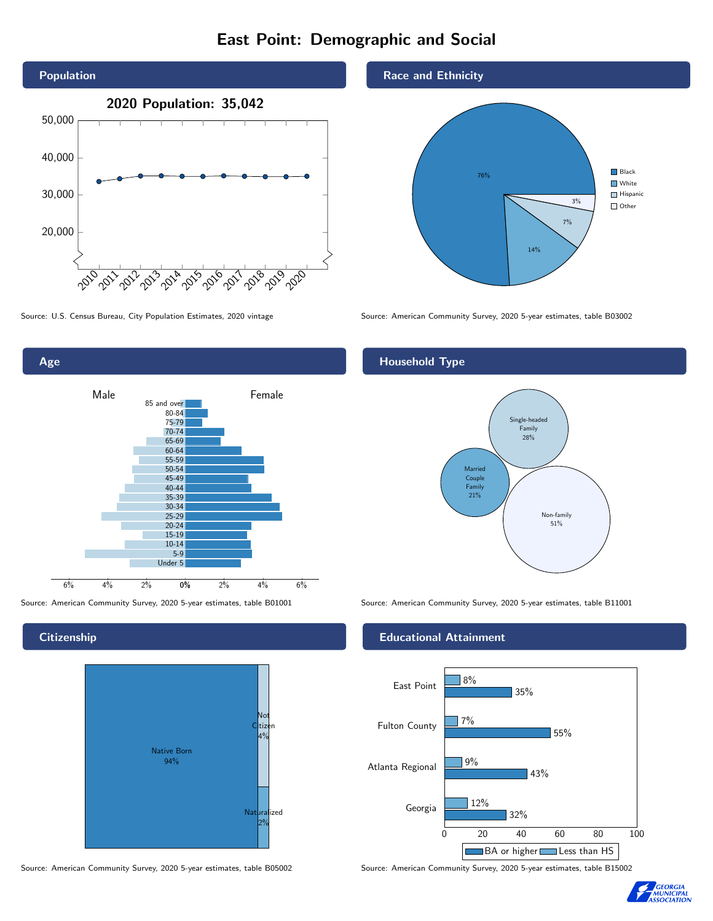# East Point: Demographic and Social



Source: U.S. Census Bureau, City Population Estimates, 2020 vintage Source: American Community Survey, 2020 5-year estimates, table B03002



### **Citizenship**



Source: American Community Survey, 2020 5-year estimates, table B05002 Source: American Community Survey, 2020 5-year estimates, table B15002



## Household Type



Source: American Community Survey, 2020 5-year estimates, table B01001 Source: American Community Survey, 2020 5-year estimates, table B11001

### Educational Attainment



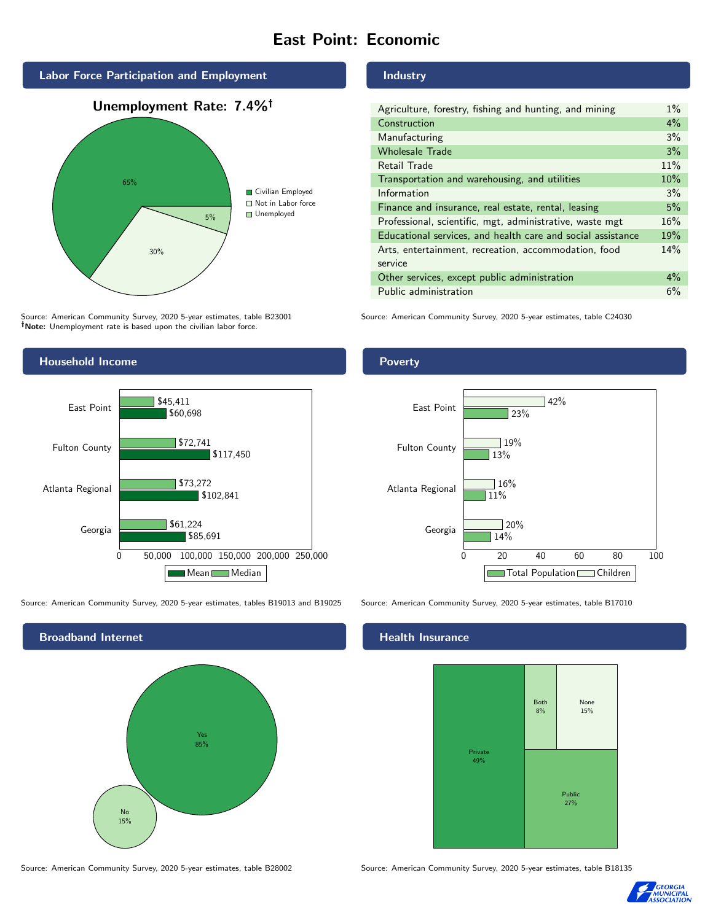# East Point: Economic



Source: American Community Survey, 2020 5-year estimates, table B23001 Note: Unemployment rate is based upon the civilian labor force.



Source: American Community Survey, 2020 5-year estimates, tables B19013 and B19025 Source: American Community Survey, 2020 5-year estimates, table B17010



Industry

| Agriculture, forestry, fishing and hunting, and mining      | $1\%$ |
|-------------------------------------------------------------|-------|
| Construction                                                | $4\%$ |
| Manufacturing                                               | 3%    |
| <b>Wholesale Trade</b>                                      | 3%    |
| Retail Trade                                                | 11%   |
| Transportation and warehousing, and utilities               | 10%   |
| Information                                                 | 3%    |
| Finance and insurance, real estate, rental, leasing         | 5%    |
| Professional, scientific, mgt, administrative, waste mgt    | 16%   |
| Educational services, and health care and social assistance | 19%   |
| Arts, entertainment, recreation, accommodation, food        | 14%   |
| service                                                     |       |
| Other services, except public administration                | $4\%$ |
| Public administration                                       | 6%    |

Source: American Community Survey, 2020 5-year estimates, table C24030

Poverty



### Health Insurance



Source: American Community Survey, 2020 5-year estimates, table B28002 Source: American Community Survey, 2020 5-year estimates, table B18135